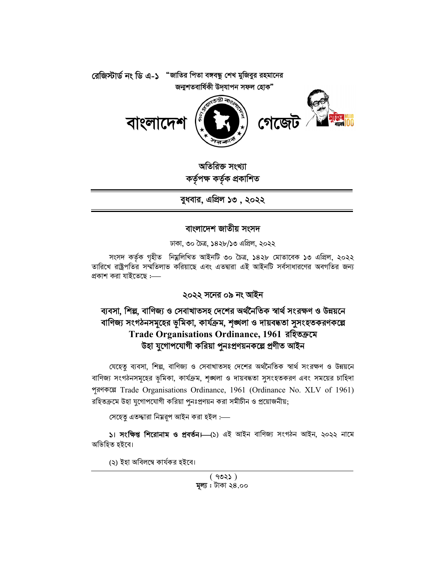

অতিরিক্ত সংখ্যা কৰ্তৃপক্ষ কৰ্তৃক প্ৰকাশিত

বুধবার, এপ্রিল ১৩ , ২০২২

## বাংলাদেশ জাতীয় সংসদ

ঢাকা, ৩০ চৈত্ৰ, ১৪২৮/১৩ এপ্ৰিল, ২০২২

সংসদ কৰ্তৃক গৃহীত নিম্নলিখিত আইনটি ৩০ চৈত্ৰ, ১৪২৮ মোতাবেক ১৩ এপ্ৰিল, ২০২২ তারিখে রাষ্ট্রপতির সম্মতিলাভ করিয়াছে এবং এতদ্বারা এই আইনটি সর্বসাধারণের অবগতির জন্য প্ৰকাশ করা যাইতেছে :—

## ২০২২ সনের ০৯ নং আইন

## ব্যবসা, শিল্প, বাণিজ্য ও সেবাখাতসহ দেশের অর্থনৈতিক স্বার্থ সংরক্ষণ ও উন্নয়নে বাণিজ্য সংগঠনসমূহের ভূমিকা, কার্যক্রম, শৃঙ্খলা ও দায়বদ্ধতা সুসংহতকরণকল্পে Trade Organisations Ordinance, 1961 রহিতক্রমে উহা যুগোপযোগী করিয়া পুনঃপ্রণয়নকল্পে প্রণীত আইন

যেহেতু ব্যবসা, শিল্প, বাণিজ্য ও সেবাখাতসহ দেশের অর্থনৈতিক স্বার্থ সংরক্ষণ ও উন্নয়নে বাণিজ্য সংগঠনসমূহের ভূমিকা, কার্যক্রম, শৃঙ্খলা ও দায়বদ্ধতা সুসংহতকরণ এবং সময়ের চাহিদা পূরণকল্পে Trade Organisations Ordinance, 1961 (Ordinance No. XLV of 1961) রহিতক্রমে উহা যুগোপযোগী করিয়া পুনঃপ্রণয়ন করা সমীচীন ও প্রয়োজনীয়;

সেহেতু এতদ্ধারা নিম্নরূপ আইন করা হইল :—

১। সংক্ষিপ্ত শিরোনাম ও প্রবর্তন। (১) এই আইন বাণিজ্য সংগঠন আইন, ২০২২ নামে অভিহিত হইবে।

(২) ইহা অবিলম্বে কাৰ্যকর হইবে।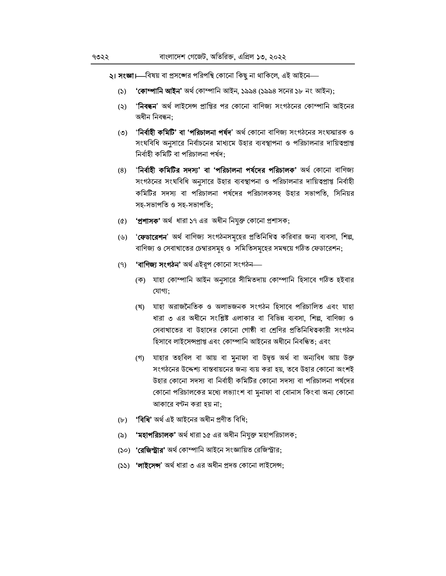২। সংজ্ঞা।—বিষয় বা প্রসঙ্গের পরিপন্থি কোনো কিছু না থাকিলে, এই আইনে—

- **'কোম্পানি আইন'** অৰ্থ কোম্পানি আইন, ১৯৯৪ (১৯৯৪ সনের ১৮ নং আইন);  $(5)$
- '**নিবন্ধন**' অৰ্থ লাইসেন্স প্ৰাপ্তির পর কোনো বাণিজ্য সংগঠনের কোম্পানি আইনের  $(5)$ অধীন নিবন্ধন:
- '**নির্বাহী কমিটি' বা 'পরিচালনা পর্যদ**' অর্থ কোনো বাণিজ্য সংগঠনের সংঘস্মারক ও  $(5)$ সংঘবিধি অনুসারে নির্বাচনের মাধ্যমে উহার ব্যবস্থাপনা ও পরিচালনার দায়িত্বপ্রাপ্ত নিৰ্বাহী কমিটি বা পরিচালনা পর্ষদ:
- '**নিৰ্বাহী কমিটির সদস্য' বা 'পরিচালনা পর্ষদের পরিচালক'** অর্থ কোনো বাণিজ্য  $(8)$ সংগঠনের সংঘবিধি অনুসারে উহার ব্যবস্থাপনা ও পরিচালনার দায়িত্বপ্রাপ্ত নির্বাহী কমিটির সদস্য বা পরিচালনা পর্ষদের পরিচালকসহ উহার সভাপতি, সিনিয়র সহ-সভাপতি ও সহ-সভাপতি:
- (৫) **'প্রশাসক'** অর্থ ধারা ১৭ এর অধীন নিযুক্ত কোনো প্রশাসক;
- (৬) '**ফেডারেশন**' অর্থ বাণিজ্য সংগঠনসমূহের প্রতিনিধিত্ব করিবার জন্য ব্যবসা, শিল্প, বাণিজ্য ও সেবাখাতের চেম্বারসমূহ ও সমিতিসমূহের সমন্বয়ে গঠিত ফেডারেশন;
- **'বাণিজ্য সংগঠন'** অৰ্থ এইরপ কোনো সংগঠন—  $(9)$ 
	- (ক) যাহা কোম্পানি আইন অনুসারে সীমিতদায় কোম্পানি হিসাবে গঠিত হইবার যোগ্য;
	- (খ) যাহা অরাজনৈতিক ও অলাভজনক সংগঠন হিসাবে পরিচালিত এবং যাহা ধারা ৩ এর অধীনে সংশ্লিষ্ট এলাকার বা বিভিন্ন ব্যবসা, শিল্প, বাণিজ্য ও সেবাখাতের বা উহাদের কোনো গোষ্ঠী বা শ্রেণির প্রতিনিধিত্বকারী সংগঠন হিসাবে লাইসেন্সপ্রাপ্ত এবং কোম্পানি আইনের অধীনে নিবন্ধিত: এবং
	- (গ) যাহার তহবিল বা আয় বা মুনাফা বা উদ্বত্ত অর্থ বা অন্যবিধ আয় উক্ত সংগঠনের উদ্দেশ্য বাস্তবায়নের জন্য ব্যয় করা হয়, তবে উহার কোনো অংশই উহার কোনো সদস্য বা নির্বাহী কমিটির কোনো সদস্য বা পরিচালনা পর্ষদের কোনো পরিচালকের মধ্যে লভ্যাংশ বা মুনাফা বা বোনাস কিংবা অন্য কোনো আকারে বণ্টন করা হয় না;
- (৮) **'বিধি'** অৰ্থ এই আইনের অধীন প্ৰণীত বিধি;
- 'মহাপরিচালক' অর্থ ধারা ১৫ এর অধীন নিযুক্ত মহাপরিচালক;  $(\delta)$
- (১০) **'রেজিস্ট্রার'** অর্থ কোম্পানি আইনে সংজ্ঞায়িত রেজিস্ট্রার;
- (১১) **'লাইসেন্স**' অৰ্থ ধারা ৩ এর অধীন প্রদত্ত কোনো লাইসেন্স;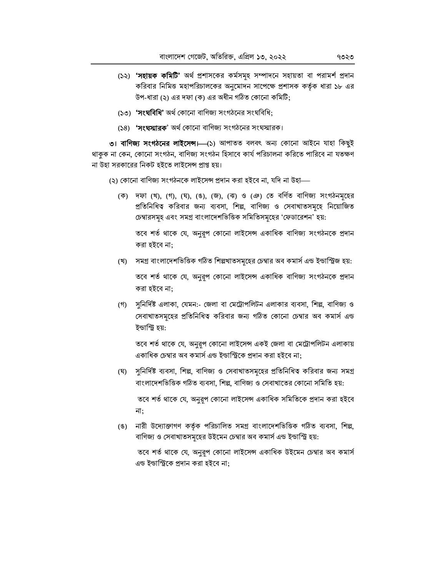- (১২) **'সহায়ক কমিটি'** অৰ্থ প্ৰশাসকের কৰ্মসমূহ সম্পাদনে সহায়তা বা পরামর্শ প্রদান করিবার নিমিত্ত মহাপরিচালকের অনুমোদন সাপেক্ষে প্রশাসক কর্তৃক ধারা ১৮ এর উপ-ধারা (২) এর দফা (ক) এর অধীন গঠিত কোনো কমিটি;
- (১৩) 'সংঘবিধি' অর্থ কোনো বাণিজ্য সংগঠনের সংঘবিধি:
- (১৪) 'সংঘস্মারক' অর্থ কোনো বাণিজ্য সংগঠনের সংঘস্মারক।

৩। বাণিজ্য সংগঠনের লাইসেন্স।—(১) আপাতত বলবৎ অন্য কোনো আইনে যাহা কিছুই থাকুক না কেন, কোনো সংগঠন, বাণিজ্য সংগঠন হিসাবে কার্য পরিচালনা করিতে পারিবে না যতক্ষণ না উহা সরকারের নিকট হইতে লাইসেন্স প্রাপ্ত হয়।

(২) কোনো বাণিজ্য সংগঠনকে লাইসেন্স প্রদান করা হইবে না, যদি না উহা—

(ক) দফা (খ), (গ), (ঘ), (ঙ), (জ), (ঝ) ও (ঞ) তে বর্ণিত বাণিজ্য সংগঠনমূহের প্রতিনিধিত্ব করিবার জন্য ব্যবসা, শিল্প, বাণিজ্য ও সেবাখাতসমূহে নিয়োজিত চেম্বারসমূহ এবং সমগ্র বাংলাদেশভিত্তিক সমিতিসমূহের 'ফেডারেশন' হয়:

তবে শর্ত থাকে যে, অনুরূপ কোনো লাইসেন্স একাধিক বাণিজ্য সংগঠনকে প্রদান করা হইবে না;

- (খ) সমগ্র বাংলাদেশভিত্তিক গঠিত শিল্পখাতসমূহের চেম্বার অব কমার্স এন্ড ইন্ডাস্ট্রিজ হয়: তবে শর্ত থাকে যে, অনুরূপ কোনো লাইসেন্স একাধিক বাণিজ্য সংগঠনকে প্রদান করা হইবে না;
- (গ) সুনির্দিষ্ট এলাকা, যেমন:- জেলা বা মেট্রোপলিটন এলাকার ব্যবসা, শিল্প, বাণিজ্য ও সেবাখাতসমূহের প্রতিনিধিত্ব করিবার জন্য গঠিত কোনো চেম্বার অব কমার্স এন্ড ইন্ডাস্ট্রি হয়:

তবে শর্ত থাকে যে, অনুরূপ কোনো লাইসেন্স একই জেলা বা মেট্রোপলিটন এলাকায় একাধিক চেম্বার অব কমার্স এন্ড ইন্ডাস্ট্রিকে প্রদান করা হইবে না;

- (ঘ) সুনির্দিষ্ট ব্যবসা, শিল্প, বাণিজ্য ও সেবাখাতসমূহের প্রতিনিধিত্ব করিবার জন্য সমগ্র বাংলাদেশভিত্তিক গঠিত ব্যবসা, শিল্প, বাণিজ্য ও সেবাখাতের কোনো সমিতি হয়: তবে শর্ত থাকে যে, অনুরূপ কোনো লাইসেন্স একাধিক সমিতিকে প্রদান করা হইবে না;
- (ঙ) মারী উদ্যোক্তাগণ কর্তৃক পরিচালিত সমগ্র বাংলাদেশভিত্তিক গঠিত ব্যবসা, শিল্প, বাণিজ্য ও সেবাখাতসমূহের উইমেন চেম্বার অব কমার্স এন্ড ইন্ডাস্ট্রি হয়:

তবে শর্ত থাকে যে, অনুরূপ কোনো লাইসেন্স একাধিক উইমেন চেম্বার অব কমার্স এন্ড ইন্ডাস্ট্রিকে প্রদান করা হইবে না;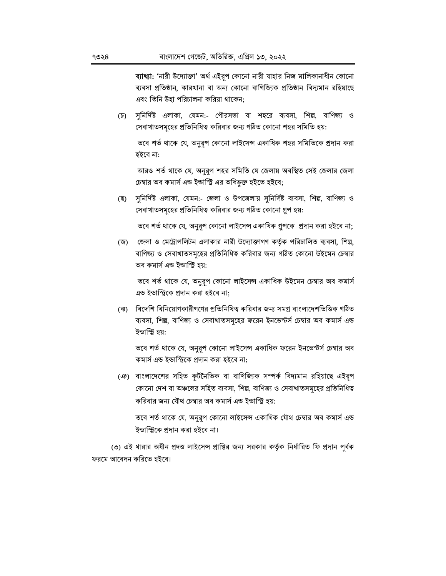ব্যাখ্যা: 'নারী উদ্যোক্তা' অর্থ এইরূপ কোনো নারী যাহার নিজ মালিকানাধীন কোনো ব্যবসা প্রতিষ্ঠান, কারখানা বা অন্য কোনো বাণিজ্যিক প্রতিষ্ঠান বিদ্যমান রহিয়াছে এবং তিনি উহা পরিচালনা করিয়া থাকেন:

(চ) সুনির্দিষ্ট এলাকা, যেমন:- পৌরসভা বা শহরে ব্যবসা, শিল্প, বাণিজ্য ও সেবাখাতসমহের প্রতিনিধিত্ব করিবার জন্য গঠিত কোনো শহর সমিতি হয়:

তবে শর্ত থাকে যে, অনুরূপ কোনো লাইসেন্স একাধিক শহর সমিতিকে প্রদান করা হইবে না:

আরও শর্ত থাকে যে, অনুরূপ শহর সমিতি যে জেলায় অবস্থিত সেই জেলার জেলা চেম্বার অব কমার্স এন্ড ইন্ডাস্ট্রি এর অধিভূক্ত হইতে হইবে;

সুনির্দিষ্ট এলাকা, যেমন:- জেলা ও উপজেলায় সুনির্দিষ্ট ব্যবসা, শিল্প, বাণিজ্য ও (ছ) সেবাখাতসমূহের প্রতিনিধিত্ব করিবার জন্য গঠিত কোনো গ্রপ হয়:

তবে শর্ত থাকে যে, অনুরূপ কোনো লাইসেন্স একাধিক গ্রুপকে প্রদান করা হইবে না;

(জ) জেলা ও মেট্রোপলিটন এলাকার নারী উদ্যোক্তাগণ কর্তৃক পরিচালিত ব্যবসা, শিল্প, বাণিজ্য ও সেবাখাতসমূহের প্রতিনিধিত্ব করিবার জন্য গঠিত কোনো উইমেন চেম্বার অব কমাৰ্স এন্ড ইন্ডাস্ট্ৰি হয়:

তবে শর্ত থাকে যে, অনুরূপ কোনো লাইসেন্স একাধিক উইমেন চেম্বার অব কমার্স এন্ড ইন্ডাস্ট্রিকে প্রদান করা হইবে না:

(ঝ) বিদেশি বিনিয়োগকারীগণের প্রতিনিধিত্ব করিবার জন্য সমগ্র বাংলাদেশভিত্তিক গঠিত ব্যবসা, শিল্প, বাণিজ্য ও সেবাখাতসমূহের ফরেন ইনভেস্টর্স চেম্বার অব কমার্স এন্ড ইন্ডাস্ট্রি হয়:

তবে শর্ত থাকে যে, অনুরূপ কোনো লাইসেন্স একাধিক ফরেন ইনভেস্টর্স চেম্বার অব কমাৰ্স এন্ড ইন্ডাস্ট্ৰিকে প্ৰদান করা হইবে না;

(ঞ) বাংলাদেশের সহিত কটনৈতিক বা বাণিজ্যিক সম্পর্ক বিদ্যমান রহিয়াছে এইরপ কোনো দেশ বা অঞ্চলের সহিত ব্যবসা, শিল্প, বাণিজ্য ও সেবাখাতসমূহের প্রতিনিধিত্ব করিবার জন্য যৌথ চেম্বার অব কমার্স এন্ড ইন্ডাস্ট্রি হয়:

তবে শর্ত থাকে যে, অনুরূপ কোনো লাইসেন্স একাধিক যৌথ চেম্বার অব কমার্স এন্ড ইন্ডাস্ট্রিকে প্রদান করা হইবে না।

(৩) এই ধারার অধীন প্রদত্ত লাইসেন্স প্রাপ্তির জন্য সরকার কর্তৃক নির্ধারিত ফি প্রদান পূর্বক ফরমে আবেদন করিতে হইবে।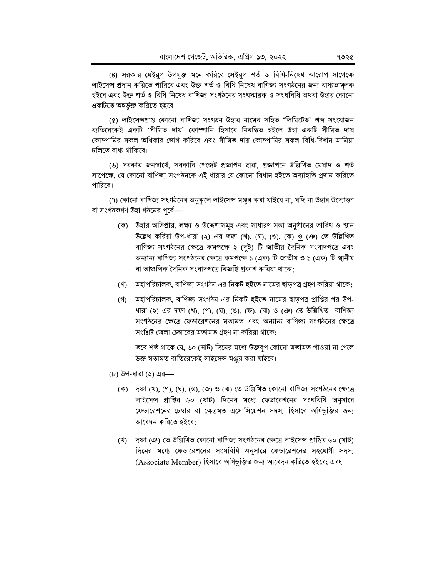(৪) সরকার যেইরূপ উপযুক্ত মনে করিবে সেইরূপ শর্ত ও বিধি-নিষেধ আরোপ সাপেক্ষে লাইসেন্স প্রদান করিতে পারিবে এবং উক্ত শর্ত ও বিধি-নিষেধ বাণিজ্য সংগঠনের জন্য বাধ্যতামূলক হইবে এবং উক্ত শর্ত ও বিধি-নিষেধ বাণিজ্য সংগঠনের সংঘস্মারক ও সংঘবিধি অথবা উহার কোনো একটিতে অন্তৰ্ভুক্ত করিতে হইবে।

(৫) লাইসেন্সপ্রাপ্ত কোনো বাণিজ্য সংগঠন উহার নামের সহিত 'লিমিটেড' শব্দ সংযোজন ব্যতিরেকেই একটি 'সীমিত দায়' কোম্পানি হিসাবে নিবন্ধিত হইলে উহা একটি সীমিত দায় কোম্পানির সকল অধিকার ভোগ করিবে এবং সীমিত দায় কোম্পানির সকল বিধি-বিধান মানিয়া চলিতে বাধ্য থাকিবে।

(৬) সরকার জনস্বার্থে, সরকারি গেজেট প্রজ্ঞাপন দ্বারা, প্রজ্ঞাপনে উল্লিখিত মেয়াদ ও শর্ত সাপেক্ষে, যে কোনো বাণিজ্য সংগঠনকে এই ধারার যে কোনো বিধান হইতে অব্যাহতি প্রদান করিতে পারিবে।

(৭) কোনো বাণিজ্য সংগঠনের অনুকূলে লাইসেন্স মঞ্জুর করা যাইবে না, যদি না উহার উদ্যোক্তা বা সংগঠকগণ উহা গঠনের পূর্বে—

- (ক) উহার অভিপ্রায়, লক্ষ্য ও উদ্দেশ্যসমূহ এবং সাধারণ সভা অনুষ্ঠানের তারিখ ও স্থান উল্লেখ করিয়া উপ-ধারা (২) এর দফা (খ), (ঘ), (ঙ), (ঝ) <u>ও</u> (ঞ) তে উল্লিখিত বাণিজ্য সংগঠনের ক্ষেত্রে কমপক্ষে ২ (দুই) টি জাতীয় দৈনিক সংবাদপত্রে এবং অন্যান্য বাণিজ্য সংগঠনের ক্ষেত্রে কমপক্ষে ১ (এক) টি জাতীয় ও ১ (এক) টি স্থানীয় বা আঞ্চলিক দৈনিক সংবাদপত্রে বিজ্ঞপ্তি প্রকাশ করিয়া থাকে;
- (খ) মহাপরিচালক, বাণিজ্য সংগঠন এর নিকট হইতে নামের ছাড়পত্র গ্রহণ করিয়া থাকে;
- (গ) মহাপরিচালক, বাণিজ্য সংগঠন এর নিকট হইতে নামের ছাড়পত্র প্রাপ্তির পর উপ-ধারা (২) এর দফা (খ), (গ), (ঘ), (ঙ), (জ), (ঝ) ও (ঞ) তে উল্লিখিত বাণিজ্য সংগঠনের ক্ষেত্রে ফেডারেশনের মতামত এবং অন্যান্য বাণিজ্য সংগঠনের ক্ষেত্রে সংশ্লিষ্ট জেলা চেম্বারের মতামত গ্রহণ না করিয়া থাকে:

তবে শর্ত থাকে যে, ৬০ (ষাট) দিনের মধ্যে উক্তরূপ কোনো মতামত পাওয়া না গেলে উক্ত মতামত ব্যতিরেকেই লাইসেন্স মঞ্জুর করা যাইবে।

- (৮) উপ-ধারা (২) এর—
	- (ক) দফা (খ), (গ), (ঘ), (ঙ), (জ) ও (ঝ) তে উল্লিখিত কোনো বাণিজ্য সংগঠনের ক্ষেত্রে লাইসেন্স প্রাপ্তির ৬০ (ষাট) দিনের মধ্যে ফেডারেশনের সংঘবিধি অনুসারে ফেডারেশনের চেম্বার বা ক্ষেত্রমত এসোসিয়েশন সদস্য হিসাবে অধিভুক্তির জন্য আবেদন করিতে হইবে;
	- (খ) দফা (ঞ) তে উল্লিখিত কোনো বাণিজ্য সংগঠনের ক্ষেত্রে লাইসেন্স প্রাপ্তির ৬০ (ষাট) দিনের মধ্যে ফেডারেশনের সংঘবিধি অনুসারে ফেডারেশনের সহযোগী সদস্য (Associate Member) হিসাবে অধিভুক্তির জন্য আবেদন করিতে হইবে; এবং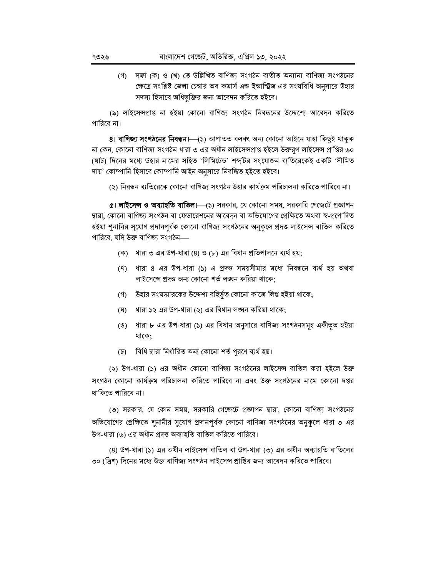(গ) দফা (ক) ও (খ) তে উল্লিখিত বাণিজ্য সংগঠন ব্যতীত অন্যান্য বাণিজ্য সংগঠনের ক্ষেত্রে সংশ্লিষ্ট জেলা চেম্বার অব কমার্স এন্ড ইন্ডাস্ট্রিজ এর সংঘবিধি অনুসারে উহার সদস্য হিসাবে অধিভুক্তির জন্য আবেদন করিতে হইবে।

(৯) লাইসেন্সপ্রাপ্ত না হইয়া কোনো বাণিজ্য সংগঠন নিবন্ধনের উদ্দেশ্যে আবেদন করিতে পারিবে না।

8। **বাণিজ্য সংগঠনের নিবন্ধন।**—(১) আপাতত বলবৎ অন্য কোনো আইনে যাহা কিছুই থাকুক না কেন, কোনো বাণিজ্য সংগঠন ধারা ৩ এর অধীন লাইসেন্সপ্রাপ্ত হইলে উক্তরূপ লাইসেন্স প্রাপ্তির ৬০ (ষাট) দিনের মধ্যে উহার নামের সহিত 'লিমিটেড' শব্দটির সংযোজন ব্যতিরেকেই একটি 'সীমিত দায়' কোম্পানি হিসাবে কোম্পানি আইন অনুসারে নিবন্ধিত হইতে হইবে।

(২) নিবন্ধন ব্যতিরেকে কোনো বাণিজ্য সংগঠন উহার কার্যক্রম পরিচালনা করিতে পারিবে না।

 $\alpha$ । লাইসেন্স ও অব্যাহতি বাতিল।—(১) সরকার, যে কোনো সময়, সরকারি গেজেটে প্রজ্ঞাপন দ্বারা, কোনো বাণিজ্য সংগঠন বা ফেডারেশনের আবেদন বা অভিযোগের প্রেক্ষিতে অথবা স্ব-প্রণোদিত হইয়া শুনানির সুযোগ প্রদানপূর্বক কোনো বাণিজ্য সংগঠনের অনুকূলে প্রদত্ত লাইসেন্স বাতিল করিতে পারিবে. যদি উক্ত বাণিজ্য সংগঠন—

- (ক) ধারা ৩ এর উপ-ধারা (৪) ও (৮) এর বিধান প্রতিপালনে ব্যর্থ হয়:
- (খ) ধারা ৪ এর উপ-ধারা (১) এ প্রদত্ত সময়সীমার মধ্যে নিবন্ধনে ব্যর্থ হয় অথবা লাইসেন্সে প্ৰদত্ত অন্য কোনো শৰ্ত লঙ্ঘন করিয়া থাকে:
- (গ) উহার সংঘস্মারকের উদ্দেশ্য বহির্ভূত কোনো কাজে লিপ্ত হইয়া থাকে;
- ধারা ১২ এর উপ-ধারা (২) এর বিধান লঙ্ঘন করিয়া থাকে; (ঘ)
- (ঙ) ধারা ৮ এর উপ-ধারা (১) এর বিধান অনুসারে বাণিজ্য সংগঠনসমূহ একীভূত হইয়া থাকে:
- (চ) বিধি দ্বারা নির্ধারিত অন্য কোনো শর্ত পূরণে ব্যর্থ হয়।

(২) উপ-ধারা (১) এর অধীন কোনো বাণিজ্য সংগঠনের লাইসেন্স বাতিল করা হইলে উক্ত সংগঠন কোনো কাৰ্যক্ৰম পরিচালনা করিতে পারিবে না এবং উক্ত সংগঠনের নামে কোনো দপ্তর থাকিতে পারিবে না।

৩) সরকার, যে কোন সময়, সরকারি গেজেটে প্রজ্ঞাপন দ্বারা, কোনো বাণিজ্য সংগঠনের অভিযোগের প্রেক্ষিতে শনানীর সুযোগ প্রদানপর্বক কোনো বাণিজ্য সংগঠনের অনুকলে ধারা ৩ এর উপ-ধারা (৬) এর অধীন প্রদত্ত অব্যাহতি বাতিল করিতে পারিবে।

(৪) উপ-ধারা (১) এর অধীন লাইসেন্স বাতিল বা উপ-ধারা (৩) এর অধীন অব্যাহতি বাতিলের ৩০ (ত্রিশ) দিনের মধ্যে উক্ত বাণিজ্য সংগঠন লাইসেন্স প্রাপ্তির জন্য আবেদন করিতে পারিবে।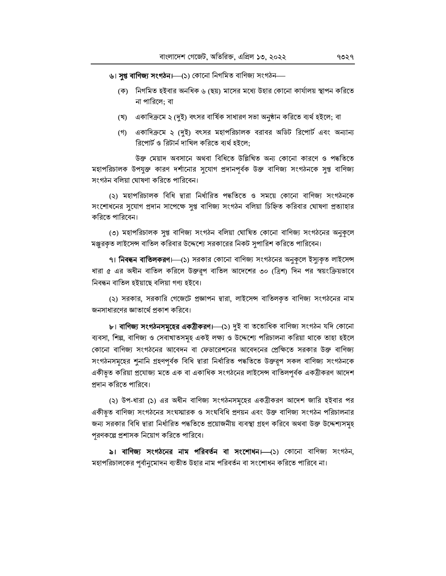ঙ। সুপ্ত বাণিজ্য সংগঠন।—(১) কোনো নিগমিত বাণিজ্য সংগঠন—

- (ক) নিগমিত হইবার অনধিক ৬ (ছয়) মাসের মধ্যে উহার কোনো কার্যালয় স্থাপন করিতে না পারিলে: বা
- (খ) একাদিক্রমে ২ (দুই) বৎসর বার্ষিক সাধারণ সভা অনুষ্ঠান করিতে ব্যর্থ হইলে; বা
- (গ) একাদিক্রমে ২ (দুই) বৎসর মহাপরিচালক বরাবর অডিট রিপোর্ট এবং অন্যান্য রিপোর্ট ও রিটার্ন দাখিল করিতে ব্যর্থ হইলে:

উক্ত মেয়াদ অবসানে অথবা বিধিতে উল্লিখিত অন্য কোনো কারণে ও পদ্ধতিতে মহাপরিচালক উপযুক্ত কারণ দর্শানোর সুযোগ প্রদানপূর্বক উক্ত বাণিজ্য সংগঠনকে সুপ্ত বাণিজ্য সংগঠন বলিয়া ঘোষণা করিতে পারিবেন।

(২) মহাপরিচালক বিধি দ্বারা নির্ধারিত পদ্ধতিতে ও সময়ে কোনো বাণিজ্য সংগঠনকে সংশোধনের সুযোগ প্রদান সাপেক্ষে সুপ্ত বাণিজ্য সংগঠন বলিয়া চিহ্নিত করিবার ঘোষণা প্রত্যাহার করিতে পারিবেন।

(৩) মহাপরিচালক সুপ্ত বাণিজ্য সংগঠন বলিয়া ঘোষিত কোনো বাণিজ্য সংগঠনের অনুকলে মঞ্জুরকৃত লাইসেন্স বাতিল করিবার উদ্দেশ্যে সরকারের নিকট সুপারিশ করিতে পারিবেন।

৭। **নিবন্ধন বাতিলকরণ।**—(১) সরকার কোনো বাণিজ্য সংগঠনের অনুকূলে ইস্যুকৃত লাইসেন্স ধারা ৫ এর অধীন বাতিল করিলে উক্তরূপ বাতিল আদেশের ৩০ (ত্রিশ) দিন পর স্বয়ংক্রিয়ভাবে নিবন্ধন বাতিল হইয়াছে বলিয়া গণ্য হইবে।

(২) সরকার, সরকারি গেজেটে প্রজ্ঞাপন দ্বারা, লাইসেন্স বাতিলকৃত বাণিজ্য সংগঠনের নাম জনসাধারণের জ্ঞাতার্থে প্রকাশ করিবে।

b। বাণিজ্য সংগঠনসমূহের একত্রীকরণ।—(১) দুই বা ততোধিক বাণিজ্য সংগঠন যদি কোনো ব্যবসা, শিল্প, বাণিজ্য ও সেবাখাতসমূহ একই লক্ষ্য ও উদ্দেশ্যে পরিচালনা করিয়া থাকে তাহা হইলে কোনো বাণিজ্য সংগঠনের আবেদন বা ফেডারেশনের আবেদনের প্রেক্ষিতে সরকার উক্ত বাণিজ্য সংগঠনসমূহের শূনানি গ্রহণপূর্বক বিধি দ্বারা নির্ধারিত পদ্ধতিতে উক্তরূপ সকল বাণিজ্য সংগঠনকে একীভ়ত করিয়া প্রযোজ্য মতে এক বা একাধিক সংগঠনের লাইসেন্স বাতিলপূর্বক একত্রীকরণ আদেশ প্রদান করিতে পারিবে।

(২) উপ-ধারা (১) এর অধীন বাণিজ্য সংগঠনসমূহের একত্রীকরণ আদেশ জারি হইবার পর একীভূত বাণিজ্য সংগঠনের সংঘস্মারক ও সংঘবিধি প্রণয়ন এবং উক্ত বাণিজ্য সংগঠন পরিচালনার জন্য সরকার বিধি দ্বারা নির্ধারিত পদ্ধতিতে প্রয়োজনীয় ব্যবস্থা গ্রহণ করিবে অথবা উক্ত উদ্দেশ্যসমূহ পরণকল্পে প্রশাসক নিয়োগ করিতে পারিবে।

৯। বাণিজ্য সংগঠনের নাম পরিবর্তন বা সংশোধন।—(১) কোনো বাণিজ্য সংগঠন, মহাপরিচালকের পূর্বানুমোদন ব্যতীত উহার নাম পরিবর্তন বা সংশোধন করিতে পারিবে না।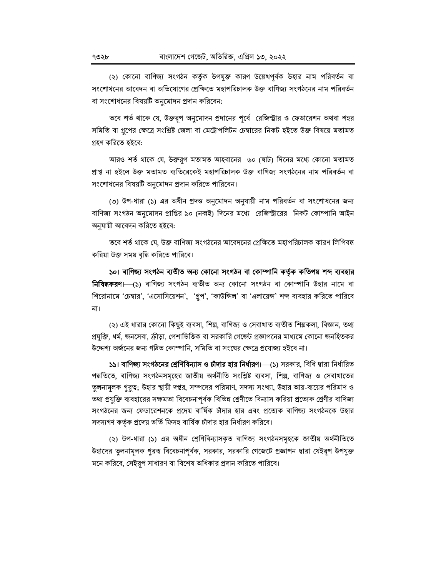(২) কোনো বাণিজ্য সংগঠন কর্তৃক উপযুক্ত কারণ উল্লেখপূর্বক উহার নাম পরিবর্তন বা সংশোধনের আবেদন বা অভিযোগের প্রেক্ষিতে মহাপরিচালক উক্ত বাণিজ্য সংগঠনের নাম পরিবর্তন বা সংশোধনের বিষয়টি অনমোদন প্রদান করিবেন:

তবে শর্ত থাকে যে, উক্তরূপ অনুমোদন প্রদানের পূর্বে রেজিস্ট্রার ও ফেডারেশন অথবা শহর সমিতি বা গ্রুপের ক্ষেত্রে সংশ্লিষ্ট জেলা বা মেট্রোপলিটন চেম্বারের নিকট হইতে উক্ত বিষয়ে মতামত গ্ৰহণ করিতে হইবে:

আরও শর্ত থাকে যে, উক্তরূপ মতামত আহবানের ৬০ (ষাট) দিনের মধ্যে কোনো মতামত প্রাপ্ত না হইলে উক্ত মতামত ব্যতিরেকেই মহাপরিচালক উক্ত বাণিজ্য সংগঠনের নাম পরিবর্তন বা সংশোধনের বিষয়টি অনুমোদন প্রদান করিতে পারিবেন।

(৩) উপ-ধারা (১) এর অধীন প্রদত্ত অনুমোদন অনুযায়ী নাম পরিবর্তন বা সংশোধনের জন্য বাণিজ্য সংগঠন অনুমোদন প্রাপ্তির ৯০ (নব্বই) দিনের মধ্যে রেজিস্ট্রারের নিকট কোম্পানি আইন অনুযায়ী আবেদন করিতে হইবে:

তবে শর্ত থাকে যে, উক্ত বাণিজ্য সংগঠনের আবেদনের প্রেক্ষিতে মহাপরিচালক কারণ লিপিবদ্ধ করিয়া উক্ত সময় বৃদ্ধি করিতে পারিবে।

১০। বাণিজ্য সংগঠন ব্যতীত অন্য কোনো সংগঠন বা কোম্পানি কর্তৃক কতিপয় শব্দ ব্যবহার **নিষিদ্ধকরণ।** (১) বাণিজ্য সংগঠন ব্যতীত অন্য কোনো সংগঠন বা কোম্পানি উহার নামে বা শিরোনামে 'চেম্বার', 'এসোসিয়েশন', 'গ্রুপ', 'কাউন্সিল' বা 'এলায়েন্স' শব্দ ব্যবহার করিতে পারিবে না।

(২) এই ধারার কোনো কিছুই ব্যবসা, শিল্প, বাণিজ্য ও সেবাখাত ব্যতীত শিল্পকলা, বিজ্ঞান, তথ্য প্রযুক্তি, ধর্ম, জনসেবা, ক্রীড়া, পেশাভিত্তিক বা সরকারি গেজেট প্রজ্ঞাপনের মাধ্যমে কোনো জনহিতকর উদ্দেশ্য অর্জনের জন্য গঠিত কোম্পানি, সমিতি বা সংঘের ক্ষেত্রে প্রযোজ্য হইবে না।

১১। বাণিজ্য সংগঠনের শ্রেণিবিন্যাস ও চীদার হার নির্ধারণ।—(১) সরকার, বিধি দ্বারা নির্ধারিত পদ্ধতিতে, বাণিজ্য সংগঠনসমূহের জাতীয় অর্থনীতি সংশ্লিষ্ট ব্যবসা, শিল্প, বাণিজ্য ও সেবাখাতের তুলনামূলক গুরুত্ব; উহার স্থায়ী দপ্তর, সম্পদের পরিমাণ, সদস্য সংখ্যা, উহার আয়-ব্যয়ের পরিমাণ ও তথ্য প্রযুক্তি ব্যবহারের সক্ষমতা বিবেচনাপূর্বক বিভিন্ন শ্রেণীতে বিন্যাস করিয়া প্রত্যেক শ্রেণীর বাণিজ্য সংগঠনের জন্য ফেডারেশনকে প্রদেয় বার্ষিক চাঁদার হার এবং প্রত্যেক বাণিজ্য সংগঠনকে উহার সদস্যগণ কর্তৃক প্রদেয় ভর্তি ফিসহ বার্ষিক চাঁদার হার নির্ধারণ করিবে।

(২) উপ-ধারা (১) এর অধীন শ্রেণিবিন্যাসকৃত বাণিজ্য সংগঠনসমূহকে জাতীয় অর্থনীতিতে উহাদের তুলনামূলক গুরত্ব বিবেচনাপূর্বক, সরকার, সরকারি গেজেটে প্রজ্ঞাপন দ্বারা যেইরূপ উপযুক্ত মনে করিবে, সেইরপ সাধারণ বা বিশেষ অধিকার প্রদান করিতে পারিবে।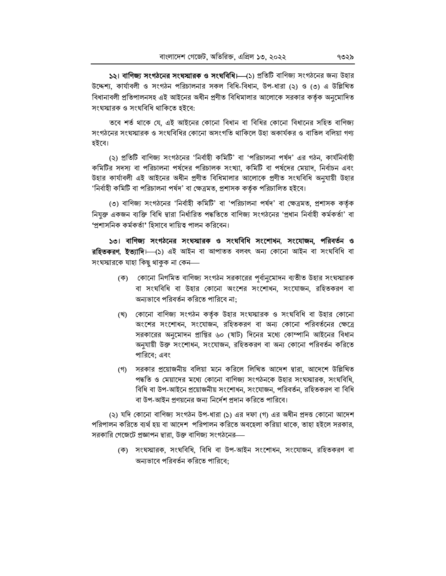১২। বাণিজ্য সংগঠনের সংঘস্মারক ও সংঘবিধি। (১) প্রতিটি বাণিজ্য সংগঠনের জন্য উহার উদ্দেশ্য, কার্যাবলী ও সংগঠন পরিচালনার সকল বিধি-বিধান, উপ-ধারা (২) ও (৩) এ উল্লিখিত বিধানাবলী প্রতিপালনসহ এই আইনের অধীন প্রণীত বিধিমালার আলোকে সরকার কর্তক অনমোদিত সংঘস্মারক ও সংঘবিধি থাকিতে হইবে:

তবে শর্ত থাকে যে, এই আইনের কোনো বিধান বা বিধির কোনো বিধানের সহিত বাণিজ্য সংগঠনের সংঘস্মারক ও সংঘবিধির কোনো অসংগতি থাকিলে উহা অকার্যকর ও বাতিল বলিয়া গণ্য হইবে।

(২) প্রতিটি বাণিজ্য সংগঠনের 'নির্বাহী কমিটি' বা 'পরিচালনা পর্ষদ' এর গঠন, কার্যনির্বাহী কমিটির সদস্য বা পরিচালনা পর্ষদের পরিচালক সংখ্যা, কমিটি বা পর্ষদের মেয়াদ, নির্বাচন এবং উহার কার্যাবলী এই আইনের অধীন প্রণীত বিধিমালার আলোকে প্রণীত সংঘবিধি অনযায়ী উহার 'নিৰ্বাহী কমিটি বা পরিচালনা পৰ্যদ' বা ক্ষেত্ৰমত, প্রশাসক কর্তৃক পরিচালিত হইবে।

(৩) বাণিজ্য সংগঠনের 'নির্বাহী কমিটি' বা 'পরিচালনা পর্ষদ' বা ক্ষেত্রমত, প্রশাসক কর্তৃক নিযুক্ত একজন ব্যক্তি বিধি দ্বারা নির্ধারিত পদ্ধতিতে বাণিজ্য সংগঠনের 'প্রধান নির্বাহী কর্মকর্তা' বা 'প্রশাসনিক কর্মকর্তা' হিসাবে দায়িত্ব পালন করিবেন।

১৩। বাণিজ্য সংগঠনের সংঘস্মারক ও সংঘবিধি সংশোধন, সংযোজন, পরিবর্তন ও র**হিতকরণ, ইত্যাদি**। (১) এই আইন বা আপাতত বলবৎ অন্য কোনো আইন বা সংঘবিধি বা সংঘস্মারকে যাহা কিছু থাকুক না কেন—

- (ক) কোনো নিগমিত বাণিজ্য সংগঠন সরকারের পূর্বানুমোদন ব্যতীত উহার সংঘস্মারক বা সংঘবিধি বা উহার কোনো অংশের সংশোধন, সংযোজন, রহিতকরণ বা অন্যভাবে পরিবর্তন করিতে পারিবে না;
- (খ) কোনো বাণিজ্য সংগঠন কর্তৃক উহার সংঘস্মারক ও সংঘবিধি বা উহার কোনো অংশের সংশোধন, সংযোজন, রহিতকরণ বা অন্য কোনো পরিবর্তনের ক্ষেত্রে সরকারের অনুমোদন প্রাপ্তির ৬০ (ষাট) দিনের মধ্যে কোম্পানি আইনের বিধান অনুযায়ী উক্ত সংশোধন, সংযোজন, রহিতকরণ বা অন্য কোনো পরিবর্তন করিতে পারিবে: এবং
- (গ) সরকার প্রয়োজনীয় বলিয়া মনে করিলে লিখিত আদেশ দ্বারা, আদেশে উল্লিখিত পদ্ধতি ও মেয়াদের মধ্যে কোনো বাণিজ্য সংগঠনকে উহার সংঘস্মারক, সংঘবিধি, বিধি বা উপ-আইনে প্রয়োজনীয় সংশোধন, সংযোজন, পরিবর্তন, রহিতকরণ বা বিধি বা উপ-আইন প্রণয়নের জন্য নির্দেশ প্রদান করিতে পারিবে।

(২) যদি কোনো বাণিজ্য সংগঠন উপ-ধারা (১) এর দফা (গ) এর অধীন প্রদত্ত কোনো আদেশ পরিপালন করিতে ব্যর্থ হয় বা আদেশ পরিপালন করিতে অবহেলা করিয়া থাকে, তাহা হইলে সরকার, সরকারি গেজেটে প্রজ্ঞাপন দ্বারা, উক্ত বাণিজ্য সংগঠনের—

(ক) সংঘস্মারক, সংঘবিধি, বিধি বা উপ-আইন সংশোধন, সংযোজন, রহিতকরণ বা অন্যভাবে পরিবর্তন করিতে পারিবে: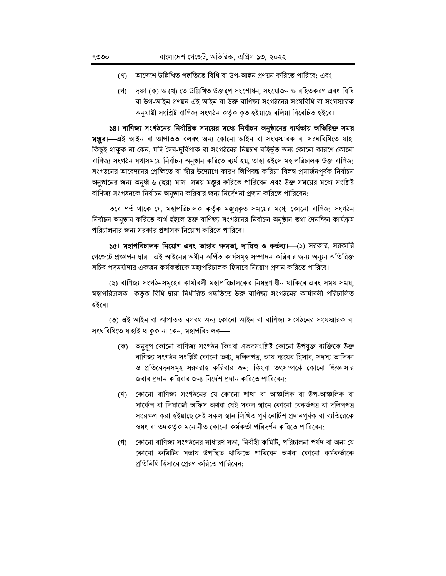- (খ) আদেশে উল্লিখিত পদ্ধতিতে বিধি বা উপ-আইন প্ৰণয়ন করিতে পারিবে; এবং
- (গ) দফা (ক) ও (খ) তে উল্লিখিত উক্তরূপ সংশোধন, সংযোজন ও রহিতকরণ এবং বিধি বা উপ-আইন প্রণয়ন এই আইন বা উক্ত বাণিজ্য সংগঠনের সংঘবিধি বা সংঘস্মারক অনুযায়ী সংশ্লিষ্ট বাণিজ্য সংগঠন কৰ্তৃক কৃত হইয়াছে বলিয়া বিবেচিত হইবে।

১৪। বাণিজ্য সংগঠনের নির্ধারিত সময়ের মধ্যে নির্বাচন অনুষ্ঠানের ব্যর্থতায় অতিরিক্ত সময় **মঞ্জুর।** এই আইন বা আপাতত বলবৎ অন্য কোনো আইন বা সংঘস্মারক বা সংঘবিধিতে যাহা কিছুই থাকুক না কেন, যদি দৈব-দুৰ্বিপাক বা সংগঠনের নিয়ন্ত্রণ বহির্ভূত অন্য কোনো কারণে কোনো বাণিজ্য সংগঠন যথাসময়ে নিৰ্বাচন অনুষ্ঠান করিতে ব্যর্থ হয়, তাহা হইলে মহাপরিচালক উক্ত বাণিজ্য সংগঠনের আবেদনের প্রেক্ষিতে বা স্বীয় উদ্যোগে কারণ লিপিবদ্ধ করিয়া বিলম্ব প্রমার্জনপূর্বক নির্বাচন অনুষ্ঠানের জন্য অনূর্ধ্ব ৬ (ছয়) মাস সময় মঞ্জুর করিতে পারিবেন এবং উক্ত সময়ের মধ্যে সংশ্লিষ্ট বাণিজ্য সংগঠনকে নির্বাচন অনুষ্ঠান করিবার জন্য নির্দেশনা প্রদান করিতে পারিবেন:

তবে শর্ত থাকে যে, মহাপরিচালক কর্তৃক মঞ্জরকৃত সময়ের মধ্যে কোনো বাণিজ্য সংগঠন নিৰ্বাচন অনুষ্ঠান করিতে ব্যর্থ হইলে উক্ত বাণিজ্য সংগঠনের নির্বাচন অনুষ্ঠান তথা দৈনন্দিন কার্যক্রম পরিচালনার জন্য সরকার প্রশাসক নিয়োগ করিতে পারিবে।

১৫। মহাপরিচালক নিয়োগ এবং তাহার ক্ষমতা, দায়িত ও কর্তব্য।—(১) সরকার, সরকারি গেজেটে প্রজ্ঞাপন দ্বারা এই আইনের অধীন অর্পিত কার্যসমূহ সম্পাদন করিবার জন্য অন্যন অতিরিক্ত সচিব পদমর্যাদার একজন কর্মকর্তাকে মহাপরিচালক হিসাবে নিয়োগ প্রদান করিতে পারিবে।

(২) বাণিজ্য সংগঠনসমূহের কার্যাবলী মহাপরিচালকের নিয়ন্ত্রণাধীন থাকিবে এবং সময় সময়, মহাপরিচালক কর্তৃক বিধি দ্বারা নির্ধারিত পদ্ধতিতে উক্ত বাণিজ্য সংগঠনের কার্যাবলী পরিচালিত হইবে।

(৩) এই আইন বা আপাতত বলবৎ অন্য কোনো আইন বা বাণিজ্য সংগঠনের সংঘস্মারক বা সংঘবিধিতে যাহাই থাকুক না কেন, মহাপরিচালক—

- (ক) অনুরূপ কোনো বাণিজ্য সংগঠন কিংবা এতদসংশ্লিষ্ট কোনো উপযুক্ত ব্যক্তিকে উক্ত বাণিজ্য সংগঠন সংশ্লিষ্ট কোনো তথ্য, দলিলপত্র, আয়-ব্যয়ের হিসাব, সদস্য তালিকা ও প্রতিবেদনসমূহ সরবরাহ করিবার জন্য কিংবা তৎসম্পর্কে কোনো জিজ্ঞাসার জবাব প্রদান করিবার জন্য নির্দেশ প্রদান করিতে পারিবেন:
- (খ) কোনো বাণিজ্য সংগঠনের যে কোনো শাখা বা আঞ্চলিক বা উপ-আঞ্চলিক বা সার্কেল বা লিয়াজৌ অফিস অথবা যেই সকল স্থানে কোনো রেকর্ডপত্র বা দলিলপত্র সংরক্ষণ করা হইয়াছে সেই সকল স্থান লিখিত পূর্ব নোটিশ প্রদানপূর্বক বা ব্যতিরেকে স্বয়ং বা তদকর্তৃক মনোনীত কোনো কর্মকর্তা পরিদর্শন করিতে পারিবেন;
- (গ) কোনো বাণিজ্য সংগঠনের সাধারণ সভা, নির্বাহী কমিটি, পরিচালনা পর্ষদ বা অন্য যে কোনো কমিটির সভায় উপস্থিত থাকিতে পারিবেন অথবা কোনো কর্মকর্তাকে প্রতিনিধি হিসাবে প্রেরণ করিতে পারিবেন: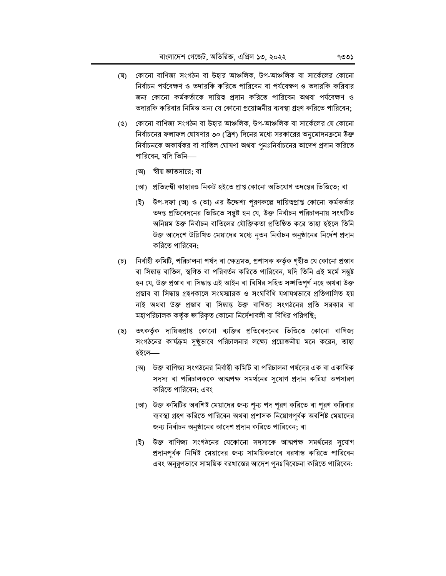- (ঘ) কোনো বাণিজ্য সংগঠন বা উহার আঞ্চলিক, উপ-আঞ্চলিক বা সার্কেলের কোনো নির্বাচন পর্যবেক্ষণ ও তদারকি করিতে পারিবেন বা পর্যবেক্ষণ ও তদারকি করিবার জন্য কোনো কর্মকর্তাকে দায়িত্ব প্রদান করিতে পারিবেন অথবা পর্যবেক্ষণ ও তদারকি করিবার নিমিত্ত অন্য যে কোনো প্রয়োজনীয় ব্যবস্থা গ্রহণ করিতে পারিবেন:
- (ঙ) কোনো বাণিজ্য সংগঠন বা উহার আঞ্চলিক, উপ-আঞ্চলিক বা সার্কেলের যে কোনো নির্বাচনের ফলাফল ঘোষণার ৩০ (ত্রিশ) দিনের মধ্যে সরকারের অনুমোদনক্রমে উক্ত নির্বাচনকে অকার্যকর বা বাতিল ঘোষণা অথবা পুনঃনির্বাচনের আদেশ প্রদান করিতে পারিবেন, যদি তিনি—
	- (অ) স্বীয় জ্ঞাতসারে; বা
	- (আ) প্রতিদ্বন্দ্বী কাহারও নিকট হইতে প্রাপ্ত কোনো অভিযোগ তদন্তের ভিত্তিতে; বা
	- (ই) উপ-দফা (অ) ও (আ) এর উদ্দেশ্য পরণকল্পে দায়িত্বপ্রাপ্ত কোনো কর্মকর্তার তদন্ত প্রতিবেদনের ভিত্তিতে সন্তুষ্ট হন যে, উক্ত নির্বাচন পরিচালনায় সংঘটিত অনিয়ম উক্ত নির্বাচন বাতিলের যৌক্তিকতা প্রতিষ্ঠিত করে তাহা হইলে তিনি উক্ত আদেশে উল্লিখিত মেয়াদের মধ্যে নৃতন নির্বাচন অনুষ্ঠানের নির্দেশ প্রদান করিতে পারিবেন:
- (চ) নিৰ্বাহী কমিটি, পরিচালনা পর্ষদ বা ক্ষেত্রমত, প্রশাসক কর্তৃক গৃহীত যে কোনো প্রস্তাব বা সিদ্ধান্ত বাতিল, স্থগিত বা পরিবর্তন করিতে পারিবেন, যদি তিনি এই মর্মে সন্তুষ্ট হন যে, উক্ত প্ৰস্তাব বা সিদ্ধান্ত এই আইন বা বিধির সহিত সঙ্গতিপূর্ণ নহে অথবা উক্ত প্ৰস্তাব বা সিদ্ধান্ত গ্ৰহণকালে সংঘস্মারক ও সংঘবিধি যথাযথভাবে প্ৰতিপালিত হয় নাই অথবা উক্ত প্রস্তাব বা সিদ্ধান্ত উক্ত বাণিজ্য সংগঠনের প্রতি সরকার বা মহাপরিচালক কর্তৃক জারিকৃত কোনো নির্দেশাবলী বা বিধির পরিপন্থি;
- তৎকর্তৃক দায়িত্বপ্রাপ্ত কোনো ব্যক্তির প্রতিবেদনের ভিত্তিতে কোনো বাণিজ্য (ছ) সংগঠনের কার্যক্রম সুষ্ঠভাবে পরিচালনার লক্ষ্যে প্রয়োজনীয় মনে করেন, তাহা হইলে—
	- (অ) উক্ত বাণিজ্য সংগঠনের নির্বাহী কমিটি বা পরিচালনা পর্ষদের এক বা একাধিক সদস্য বা পরিচালককে আত্মপক্ষ সমর্থনের সুযোগ প্রদান করিয়া অপসারণ করিতে পারিবেন: এবং
	- (আ) উক্ত কমিটির অবশিষ্ট মেয়াদের জন্য শূন্য পদ পুরণ করিতে বা পুরণ করিবার ব্যবস্থা গ্রহণ করিতে পারিবেন অথবা প্রশাসক নিয়োগপূর্বক অবশিষ্ট মেয়াদের জন্য নির্বাচন অনুষ্ঠানের আদেশ প্রদান করিতে পারিবেন; বা
	- (ই) উক্ত বাণিজ্য সংগঠনের যেকোনো সদস্যকে আত্মপক্ষ সমর্থনের সুযোগ প্রদানপূর্বক নির্দিষ্ট মেয়াদের জন্য সাময়িকভাবে বরখাস্ত করিতে পারিবেন এবং অনুরূপভাবে সাময়িক বরখাস্তের আদেশ পুনঃবিবেচনা করিতে পারিবেন: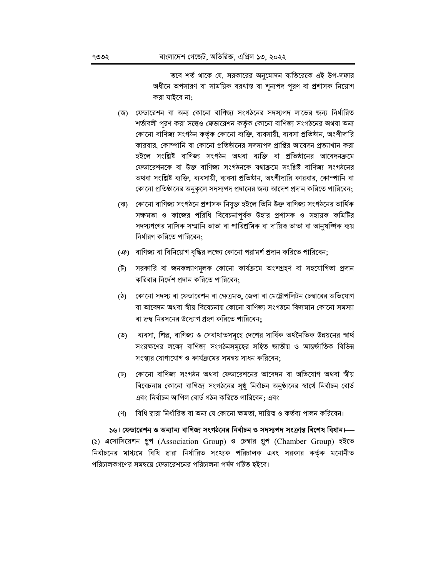তবে শর্ত থাকে যে, সরকারের অনুমোদন ব্যতিরেকে এই উপ-দফার অধীনে অপসারণ বা সাময়িক বরখাস্ত বা শন্যপদ পূরণ বা প্রশাসক নিয়োগ করা যাইবে না:

- (জ) ফেডারেশন বা অন্য কোনো বাণিজ্য সংগঠনের সদস্যপদ লাভের জন্য নির্ধারিত শর্তাবলী পুরণ করা সত্ত্বেও ফেডারেশন কর্তৃক কোনো বাণিজ্য সংগঠনের অথবা অন্য কোনো বাণিজ্য সংগঠন কর্তৃক কোনো ব্যক্তি, ব্যবসায়ী, ব্যবসা প্রতিষ্ঠান, অংশীদারি কারবার, কোম্পানি বা কোনো প্রতিষ্ঠানের সদস্যপদ প্রাপ্তির আবেদন প্রত্যাখান করা হইলে সংশ্লিষ্ট বাণিজ্য সংগঠন অথবা ব্যক্তি বা প্রতিষ্ঠানের আবেদনক্রমে ফেডারেশনকে বা উক্ত বাণিজ্য সংগঠনকে যথাক্রমে সংশ্লিষ্ট বাণিজ্য সংগঠনের অথবা সংশ্লিষ্ট ব্যক্তি, ব্যবসায়ী, ব্যবসা প্রতিষ্ঠান, অংশীদারি কারবার, কোম্পানি বা কোনো প্রতিষ্ঠানের অনুকলে সদস্যপদ প্রদানের জন্য আদেশ প্রদান করিতে পারিবেন;
- (ঝ) কোনো বাণিজ্য সংগঠনে প্রশাসক নিযুক্ত হইলে তিনি উক্ত বাণিজ্য সংগঠনের আর্থিক সক্ষমতা ও কাজের পরিধি বিবেচনাপূর্বক উহার প্রশাসক ও সহায়ক কমিটির সদস্যগণের মাসিক সম্মানি ভাতা বা পারিশ্রমিক বা দায়িত্ব ভাতা বা আনুষঙ্গিক ব্যয় নিৰ্ধারণ করিতে পারিবেন:
- (ঞ) বাণিজ্য বা বিনিয়োগ বৃদ্ধির লক্ষ্যে কোনো পরামর্শ প্রদান করিতে পারিবেন;
- (ট) সরকারি বা জনকল্যাণমূলক কোনো কার্যক্রমে অংশগ্রহণ বা সহযোগিতা প্রদান করিবার নির্দেশ প্রদান করিতে পারিবেন:
- (ঠ) কোনো সদস্য বা ফেডারেশন বা ক্ষেত্রমত, জেলা বা মেট্রোপলিটন চেম্বারের অভিযোগ বা আবেদন অথবা স্বীয় বিবেচনায় কোনো বাণিজ্য সংগঠনে বিদ্যমান কোনো সমস্যা বা দ্বন্দ্ব নিরসনের উদ্যোগ গ্রহণ করিতে পারিবেন:
- (ড) ব্যবসা, শিল্প, বাণিজ্য ও সেবাখাতসমূহে দেশের সার্বিক অর্থনৈতিক উন্নয়নের স্বার্থ সংরক্ষণের লক্ষ্যে বাণিজ্য সংগঠনসমূহের সহিত জাতীয় ও আন্তর্জাতিক বিভিন্ন সংস্থার যোগাযোগ ও কার্যক্রমের সমন্বয় সাধন করিবেন:
- (ঢ) কোনো বাণিজ্য সংগঠন অথবা ফেডারেশনের আবেদন বা অভিযোগ অথবা স্বীয় বিবেচনায় কোনো বাণিজ্য সংগঠনের সুষ্ঠু নির্বাচন অনুষ্ঠানের স্বার্থে নির্বাচন বোর্ড এবং নিৰ্বাচন আপিল বোৰ্ড গঠন করিতে পারিবেন; এবং
- (ণ) বিধি দ্বারা নির্ধারিত বা অন্য যে কোনো ক্ষমতা, দায়িত্ব ও কর্তব্য পালন করিবেন।

১৬। ফেডারেশন ও অন্যান্য বাণিজ্য সংগঠনের নির্বাচন ও সদস্যপদ সংক্রান্ত বিশেষ বিধান।— (১) এসোসিয়েশন গ্রুপ (Association Group) ও চেম্বার গ্রুপ (Chamber Group) হইতে নির্বাচনের মাধ্যমে বিধি দ্বারা নির্ধারিত সংখ্যক পরিচালক এবং সরকার কর্তক মনোনীত পরিচালকগণের সমন্বয়ে ফেডারেশনের পরিচালনা পর্ষদ গঠিত হইবে।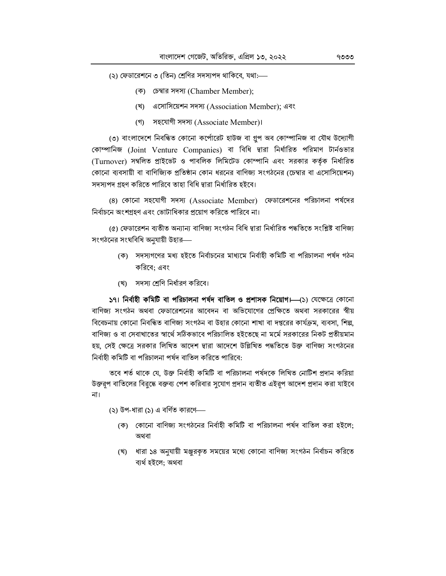- (২) ফেডারেশনে ৩ (তিন) শ্রেণির সদস্যপদ থাকিবে, যথা:—
	- (ক) ঢেম্বার সদস্য (Chamber Member);
	- (খ) এসোসিয়েশন সদস্য (Association Member); এবং
	- (গ) সহযোগী সদস্য (Associate Member)।

(৩) বাংলাদেশে নিবন্ধিত কোনো কর্পোরেট হাউজ বা গ্রপ অব কোম্পানিজ বা যৌথ উদ্যোগী কোম্পানিজ (Joint Venture Companies) বা বিধি দ্বারা নির্ধারিত পরিমাণ টার্নওভার (Turnover) সম্বলিত প্রাইভেট ও পাবলিক লিমিটেড কোম্পানি এবং সরকার কর্তক নির্ধারিত কোনো ব্যবসায়ী বা বাণিজ্যিক প্রতিষ্ঠান কোন ধরনের বাণিজ্য সংগঠনের (চেম্বার বা এসোসিয়েশন) সদস্যপদ গ্রহণ করিতে পারিবে তাহা বিধি দ্বারা নির্ধারিত হইবে।

(8) কোনো সহযোগী সদস্য (Associate Member) ফেডারেশনের পরিচালনা পর্ষদের নির্বাচনে অংশগ্রহণ এবং ভোটাধিকার প্রয়োগ করিতে পারিবে না।

(৫) ফেডারেশন ব্যতীত অন্যান্য বাণিজ্য সংগঠন বিধি দ্বারা নির্ধারিত পদ্ধতিতে সংশ্লিষ্ট বাণিজ্য সংগঠনের সংঘবিধি অনুযায়ী উহার—

- (ক) সদস্যগণের মধ্য হইতে নির্বাচনের মাধ্যমে নির্বাহী কমিটি বা পরিচালনা পর্ষদ গঠন করিবে: এবং
- (খ) সদস্য শ্রেণি নির্ধারণ করিবে।

591 নিৰ্বাহী কমিটি বা পরিচালনা পর্যদ বাতিল ও প্রশাসক নিয়োগ।—(১) যেক্ষেত্রে কোনো বাণিজ্য সংগঠন অথবা ফেডারেশনের আবেদন বা অভিযোগের প্রেক্ষিতে অথবা সরকারের স্বীয় বিবেচনায় কোনো নিবন্ধিত বাণিজ্য সংগঠন বা উহার কোনো শাখা বা দপ্তরের কার্যক্রম, ব্যবসা, শিল্প, বাণিজ্য ও বা সেবাখাতের স্বার্থে সঠিকভাবে পরিচালিত হইতেছে না মর্মে সরকারের নিকট প্রতীয়মান হয়, সেই ক্ষেত্রে সরকার লিখিত আদেশ দ্বারা আদেশে উল্লিখিত পদ্ধতিতে উক্ত বাণিজ্য সংগঠনের নিৰ্বাহী কমিটি বা পরিচালনা পর্ষদ বাতিল করিতে পারিবে:

তবে শর্ত থাকে যে, উক্ত নির্বাহী কমিটি বা পরিচালনা পর্ষদকে লিখিত নোটিশ প্রদান করিয়া উক্তরূপ বাতিলের বিরুদ্ধে বক্তব্য পেশ করিবার সুযোগ প্রদান ব্যতীত এইরূপ আদেশ প্রদান করা যাইবে না।

(২) উপ-ধারা (১) এ বর্ণিত কারণে—

- (ক) কোনো বাণিজ্য সংগঠনের নির্বাহী কমিটি বা পরিচালনা পর্যদ বাতিল করা হইলে: অথবা
- (খ) ধারা ১৪ অনুযায়ী মঞ্জরকৃত সময়ের মধ্যে কোনো বাণিজ্য সংগঠন নির্বাচন করিতে ব্যৰ্থ হইলে: অথবা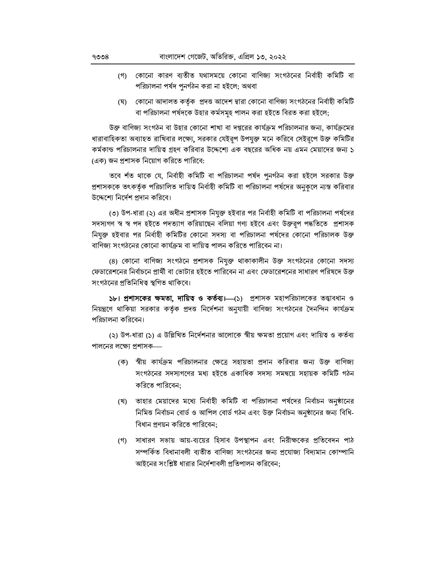- (গ) কোনো কারণ ব্যতীত যথাসময়ে কোনো বাণিজ্য সংগঠনের নির্বাহী কমিটি বা পরিচালনা পর্ষদ পুনর্গঠন করা না হইলে; অথবা
- কোনো আদালত কর্তৃক প্রদত্ত আদেশ দ্বারা কোনো বাণিজ্য সংগঠনের নির্বাহী কমিটি (ঘ) বা পরিচালনা পর্ষদকে উহার কর্মসমূহ পালন করা হইতে বিরত করা হইলে;

উক্ত বাণিজ্য সংগঠন বা উহার কোনো শাখা বা দপ্তরের কার্যক্রম পরিচালনার জন্য, কার্যক্রমের ধারাবাহিকতা অব্যাহত রাখিবার লক্ষ্যে, সরকার যেইরূপ উপযুক্ত মনে করিবে সেইরূপে উক্ত কমিটির কর্মকান্ড পরিচালনার দায়িত্ব গ্রহণ করিবার উদ্দেশ্যে এক বছরের অধিক নয় এমন মেয়াদের জন্য ১ (এক) জন প্রশাসক নিয়োগ করিতে পারিবে:

তবে র্শত থাকে যে, নির্বাহী কমিটি বা পরিচালনা পর্যদ পুনর্গঠন করা হইলে সরকার উক্ত প্রশাসককে তৎকর্তৃক পরিচালিত দায়িত্ব নির্বাহী কমিটি বা পরিচালনা পর্ষদের অনুকলে ন্যস্ত করিবার উদ্দেশ্যে নির্দেশ পদান করিবে।

(৩) উপ-ধারা (২) এর অধীন প্রশাসক নিযুক্ত হইবার পর নির্বাহী কমিটি বা পরিচালনা পর্ষদের সদস্যগণ স্ব স্ব পদ হইতে পদত্যাগ করিয়াছেন বলিয়া গণ্য হইবে এবং উক্তরূপ পদ্ধতিতে প্রশাসক নিযুক্ত হইবার পর নির্বাহী কমিটির কোনো সদস্য বা পরিচালনা পর্ষদের কোনো পরিচালক উক্ত বাণিজ্য সংগঠনের কোনো কার্যক্রম বা দায়িত্ব পালন করিতে পারিবেন না।

(8) কোনো বাণিজ্য সংগঠনে প্রশাসক নিযুক্ত থাকাকালীন উক্ত সংগঠনের কোনো সদস্য ফেডারেশনের নির্বাচনে প্রার্থী বা ভোটার হইতে পারিবেন না এবং ফেডারেশনের সাধারণ পরিষদে উক্ত সংগঠনের প্রতিনিধিত্ব স্থগিত থাকিবে।

১৮। **প্রশাসকের ক্ষমতা, দায়িত্ব ও কর্তব্য।**—(১) প্রশাসক মহাপরিচালকের তত্ত্বাবধান ও নিয়ন্ত্রণে থাকিয়া সরকার কর্তৃক প্রদত্ত নির্দেশনা অনুযায়ী বাণিজ্য সংগঠনের দৈনন্দিন কার্যক্রম পরিচালনা করিবেন।

(২) উপ-ধারা (১) এ উল্লিখিত নির্দেশনার আলোকে স্বীয় ক্ষমতা প্রয়োগ এবং দায়িত্ব ও কর্তব্য পালনের লক্ষ্যে প্রশাসক—

- (ক) স্বীয় কার্যক্রম পরিচালনার ক্ষেত্রে সহায়তা প্রদান করিবার জন্য উক্ত বাণিজ্য সংগঠনের সদস্যগণের মধ্য হইতে একাধিক সদস্য সমন্বয়ে সহায়ক কমিটি গঠন করিতে পারিবেন:
- (খ) তাহার মেয়াদের মধ্যে নির্বাহী কমিটি বা পরিচালনা পর্যদের নির্বাচন অনুষ্ঠানের নিমিত্ত নিৰ্বাচন বোৰ্ড ও আপিল বোৰ্ড গঠন এবং উক্ত নিৰ্বাচন অনুষ্ঠানের জন্য বিধি-বিধান প্রণয়ন করিতে পারিবেন:
- (গ) সাধারণ সভায় আয়-ব্যয়ের হিসাব উপস্থাপন এবং নিরীক্ষকের প্রতিবেদন পাঠ সম্পর্কিত বিধানাবলী ব্যতীত বাণিজ্য সংগঠনের জন্য প্রযোজ্য বিদ্যমান কোম্পানি আইনের সংশ্লিষ্ট ধারার নির্দেশাবলী প্রতিপালন করিবেন: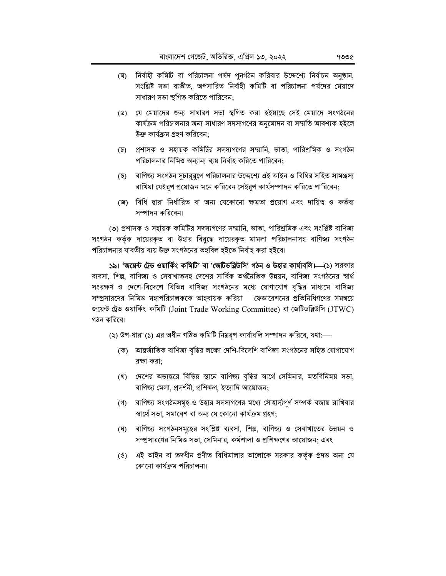- (ঘ) নিৰ্বাহী কমিটি বা পরিচালনা পর্যদ পুনর্গঠন করিবার উদ্দেশ্যে নির্বাচন অনুষ্ঠান, সংশ্লিষ্ট সভা ব্যতীত, অপসারিত নির্বাহী কমিটি বা পরিচালনা পর্ষদের মেয়াদে সাধারণ সভা স্থগিত করিতে পারিবেন:
- (ঙ) যে মেয়াদের জন্য সাধারণ সভা স্থগিত করা হইয়াছে সেই মেয়াদে সংগঠনের কার্যক্রম পরিচালনার জন্য সাধারণ সদস্যগণের অনুমোদন বা সম্মতি আবশ্যক হইলে উক্ত কাৰ্যক্ৰম গ্ৰহণ করিবেন:
- (চ) প্রশাসক ও সহায়ক কমিটির সদস্যগণের সম্মানি, ভাতা, পারিশ্রমিক ও সংগঠন পরিচালনার নিমিত্ত অন্যান্য ব্যয় নির্বাহ করিতে পারিবেন:
- (ছ) বাণিজ্য সংগঠন সুচারুরূপে পরিচালনার উদ্দেশ্যে এই আইন ও বিধির সহিত সামঞ্জস্য রাখিয়া যেইরূপ প্রয়োজন মনে করিবেন সেইরূপ কার্যসম্পাদন করিতে পারিবেন;
- (জ) বিধি দ্বারা নির্ধারিত বা অন্য যেকোনো ক্ষমতা প্রয়োগ এবং দায়িত্ব ও কর্তব্য সম্পাদন করিবেন।

(৩) প্রশাসক ও সহায়ক কমিটির সদস্যগণের সম্মানি, ভাতা, পারিশ্রমিক এবং সংশ্লিষ্ট বাণিজ্য সংগঠন কর্তৃক দায়েরকৃত বা উহার বিরুদ্ধে দায়েরকৃত মামলা পরিচালনাসহ বাণিজ্য সংগঠন পরিচালনার যাবতীয় ব্যয় উক্ত সংগঠনের তহবিল হইতে নির্বাহ করা হইবে।

১৯। 'জয়েন্ট ট্রেড ওয়ার্কিং কমিটি' বা 'জেটিডব্লিউসি' গঠন ও উহার কার্যাবলি।—(১) সরকার ব্যবসা, শিল্প, বাণিজ্য ও সেবাখাতসহ দেশের সার্বিক অর্থনৈতিক উন্নয়ন, বাণিজ্য সংগঠনের স্বার্থ সংরক্ষণ ও দেশে-বিদেশে বিভিন্ন বাণিজ্য সংগঠনের মধ্যে যোগাযোগ বৃদ্ধির মাধ্যমে বাণিজ্য সম্প্রসারণের নিমিত্ত মহাপরিচালককে আহবায়ক করিয়া ফেডারেশনের প্রতিনিধিগণের সমন্বয়ে জয়েন্ট ট্রেড ওয়ার্কিং কমিটি (Joint Trade Working Committee) বা জেটিডব্লিউসি (JTWC) গঠন করিবে।

(২) উপ-ধারা (১) এর অধীন গঠিত কমিটি নিম্নরূপ কার্যাবলি সম্পাদন করিবে, যথা:—

- (ক) আন্তর্জাতিক বাণিজ্য বৃদ্ধির লক্ষ্যে দেশি-বিদেশি বাণিজ্য সংগঠনের সহিত যোগাযোগ রক্ষা করা:
- (খ) দেশের অভ্যন্তরে বিভিন্ন স্থানে বাণিজ্য বৃদ্ধির স্বার্থে সেমিনার, মতবিনিময় সভা, বাণিজ্য মেলা, প্রদর্শনী, প্রশিক্ষণ, ইত্যাদি আয়োজন;
- (গ) বাণিজ্য সংগঠনসমূহ ও উহার সদস্যগণের মধ্যে সৌহার্দ্যপূর্ণ সম্পর্ক বজায় রাখিবার স্বার্থে সভা, সমাবেশ বা অন্য যে কোনো কার্যক্রম গ্রহণ;
- (ঘ) বাণিজ্য সংগঠনসমূহের সংশ্লিষ্ট ব্যবসা, শিল্প, বাণিজ্য ও সেবাখাতের উন্নয়ন ও সম্প্রসারণের নিমিত্ত সভা, সেমিনার, কর্মশালা ও প্রশিক্ষণের আয়োজন; এবং
- (ঙ) এই আইন বা তদধীন প্রণীত বিধিমালার আলোকে সরকার কর্তৃক প্রদত্ত অন্য যে কোনো কাৰ্যক্ৰম পরিচালনা।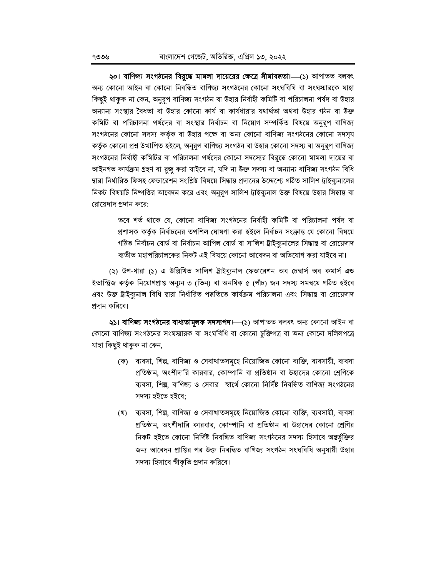২০। বাণিজ্য সংগঠনের বিরুদ্ধে মামলা দায়েরের ক্ষেত্রে সীমাবদ্ধতা।—(১) আপাতত বলবৎ অন্য কোনো আইন বা কোনো নিবন্ধিত বাণিজ্য সংগঠনের কোনো সংঘবিধি বা সংঘস্মারকে যাহা কিছুই থাকুক না কেন, অনুরূপ বাণিজ্য সংগঠন বা উহার নির্বাহী কমিটি বা পরিচালনা পর্ষদ বা উহার অন্যান্য সংস্থার বৈধতা বা উহার কোনো কার্য বা কার্যধারার যথার্থতা অথবা উহার গঠন বা উক্ত কমিটি বা পরিচালনা পর্ষদের বা সংস্থার নির্বাচন বা নিয়োগ সম্পর্কিত বিষয়ে অনুরূপ বাণিজ্য সংগঠনের কোনো সদস্য কর্তৃক বা উহার পক্ষে বা অন্য কোনো বাণিজ্য সংগঠনের কোনো সদস্য কর্তৃক কোনো প্রশ্ন উত্থাপিত হইলে, অনুরূপ বাণিজ্য সংগঠন বা উহার কোনো সদস্য বা অনুরূপ বাণিজ্য সংগঠনের নির্বাহী কমিটির বা পরিচালনা পর্ষদের কোনো সদস্যের বিরুদ্ধে কোনো মামলা দায়ের বা আইনগত কাৰ্যক্ৰম গ্ৰহণ বা বুজু করা যাইবে না, যদি না উক্ত সদস্য বা অন্যান্য বাণিজ্য সংগঠন বিধি দ্বারা নির্ধারিত ফিসহ ফেডারেশন সংশ্লিষ্ট বিষয়ে সিদ্ধান্ত প্রদানের উদ্দেশ্যে গঠিত সালিশ ট্রাইব্যুনালের নিকট বিষয়টি নিষ্পত্তির আবেদন করে এবং অনুরূপ সালিশ ট্রাইব্যনাল উক্ত বিষয়ে উহার সিদ্ধান্ত বা রোয়েদাদ প্রদান করে:

তবে শর্ত থাকে যে, কোনো বাণিজ্য সংগঠনের নির্বাহী কমিটি বা পরিচালনা পর্যদ বা প্রশাসক কর্তৃক নির্বাচনের তপশিল ঘোষণা করা হইলে নির্বাচন সংক্রান্ত যে কোনো বিষয়ে গঠিত নির্বাচন বোর্ড বা নির্বাচন আপিল বোর্ড বা সালিশ ট্রাইব্যনালের সিদ্ধান্ত বা রোয়েদাদ ব্যতীত মহাপরিচালকের নিকট এই বিষয়ে কোনো আবেদন বা অভিযোগ করা যাইবে না।

(২) উপ-ধারা (১) এ উল্লিখিত সালিশ ট্রাইব্যুনাল ফেডারেশন অব চেম্বার্স অব কমার্স এন্ড ইন্ডাস্ট্রিজ কর্তৃক নিয়োগপ্রাপ্ত অন্যুন ৩ (তিন) বা অনধিক ৫ (পাঁচ) জন সদস্য সমন্বয়ে গঠিত হইবে এবং উক্ত ট্রাইব্যুনাল বিধি দ্বারা নির্ধারিত পদ্ধতিতে কার্যক্রম পরিচালনা এবং সিদ্ধান্ত বা রোয়েদাদ প্ৰদান করিবে।

২১। বাণিজ্য সংগঠনের বাধ্যতামূলক সদস্যপদ।—(১) আপাতত বলবৎ অন্য কোনো আইন বা কোনো বাণিজ্য সংগঠনের সংঘস্মারক বা সংঘবিধি বা কোনো চুক্তিপত্র বা অন্য কোনো দলিলপত্রে যাহা কিছুই থাকুক না কেন,

- (ক) ব্যবসা, শিল্প, বাণিজ্য ও সেবাখাতসমূহে নিয়োজিত কোনো ব্যক্তি, ব্যবসায়ী, ব্যবসা প্রতিষ্ঠান, অংশীদারি কারবার, কোম্পানি বা প্রতিষ্ঠান বা উহাদের কোনো শ্রেণিকে ব্যবসা, শিল্প, বাণিজ্য ও সেবার স্বার্থে কোনো নির্দিষ্ট নিবন্ধিত বাণিজ্য সংগঠনের সদস্য হইতে হইবে:
- (খ) ব্যবসা, শিল্প, বাণিজ্য ও সেবাখাতসমূহে নিয়োজিত কোনো ব্যক্তি, ব্যবসায়ী, ব্যবসা প্রতিষ্ঠান, অংশীদারি কারবার, কোম্পানি বা প্রতিষ্ঠান বা উহাদের কোনো শ্রেণির নিকট হইতে কোনো নিৰ্দিষ্ট নিবন্ধিত বাণিজ্য সংগঠনের সদস্য হিসাবে অন্তৰ্ভুক্তির জন্য আবেদন প্রাপ্তির পর উক্ত নিবন্ধিত বাণিজ্য সংগঠন সংঘবিধি অনুযায়ী উহার সদস্য হিসাবে স্বীকৃতি প্রদান করিবে।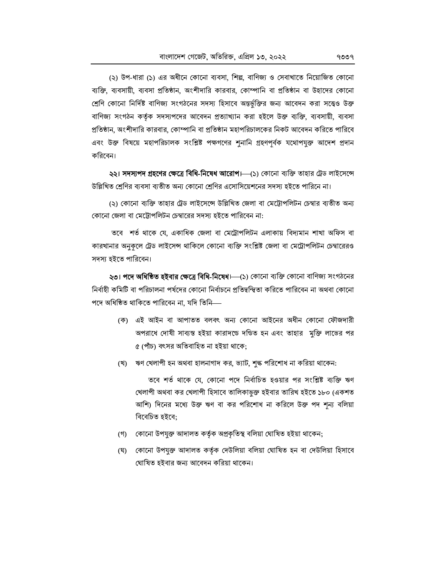(২) উপ-ধারা (১) এর অধীনে কোনো ব্যবসা, শিল্প, বাণিজ্য ও সেবাখাতে নিয়োজিত কোনো ব্যক্তি, ব্যবসায়ী, ব্যবসা প্রতিষ্ঠান, অংশীদারি কারবার, কোম্পানি বা প্রতিষ্ঠান বা উহাদের কোনো শ্রেণি কোনো নির্দিষ্ট বাণিজ্য সংগঠনের সদস্য হিসাবে অন্তর্ভুক্তির জন্য আবেদন করা সত্ত্বেও উক্ত বাণিজ্য সংগঠন কর্তৃক সদস্যপদের আবেদন প্রত্যাখ্যান করা হইলে উক্ত ব্যক্তি, ব্যবসায়ী, ব্যবসা প্রতিষ্ঠান, অংশীদারি কারবার, কোম্পানি বা প্রতিষ্ঠান মহাপরিচালকের নিকট আবেদন করিতে পারিবে এবং উক্ত বিষয়ে মহাপরিচালক সংশ্লিষ্ট পক্ষগণের শুনানি গ্রহণপূর্বক যথোপযুক্ত আদেশ প্রদান করিবেন।

২২। সদস্যপদ গ্রহণের ক্ষেত্রে বিধি-নিষেধ আরোপ।—(১) কোনো ব্যক্তি তাহার ট্রেড লাইসেন্সে উল্লিখিত শ্রেণির ব্যবসা ব্যতীত অন্য কোনো শ্রেণির এসোসিয়েশনের সদস্য হইতে পারিনে না।

(২) কোনো ব্যক্তি তাহার ট্রেড লাইসেন্সে উল্লিখিত জেলা বা মেট্টোপলিটন চেম্বার ব্যতীত অন্য কোনো জেলা বা মেট্টোপলিটন চেম্বারের সদস্য হইতে পারিবেন না:

তবে শর্ত থাকে যে, একাধিক জেলা বা মেট্রোপলিটন এলাকায় বিদ্যমান শাখা অফিস বা কারখানার অনুকূলে ট্রেড লাইসেন্স থাকিলে কোনো ব্যক্তি সংশ্লিষ্ট জেলা বা মেট্রোপলিটন চেম্বারেরও সদস্য হইতে পারিবেন।

২৩। পদে অধিষ্ঠিত হইবার ক্ষেত্রে বিধি-নিষেধ।—(১) কোনো ব্যক্তি কোনো বাণিজ্য সংগঠনের নিৰ্বাহী কমিটি বা পরিচালনা পর্ষদের কোনো নিৰ্বাচনে প্রতিদ্বন্দ্বিতা করিতে পারিবেন না অথবা কোনো পদে অধিষ্ঠিত থাকিতে পারিবেন না. যদি তিনি—

- (ক) এই আইন বা আপাতত বলবৎ অন্য কোনো আইনের অধীন কোনো ফৌজদারী অপরাধে দোষী সাব্যস্ত হইয়া কারাদন্ডে দণ্ডিত হন এবং তাহার মক্তি লাভের পর ৫ (পাঁচ) বৎসর অতিবাহিত না হইয়া থাকে;
- (খ) ঋণ খেলাপী হন অথবা হালনাগাদ কর, ভ্যাট, শুল্ক পরিশোধ না করিয়া থাকেন:

তবে শর্ত থাকে যে, কোনো পদে নির্বাচিত হওয়ার পর সংশ্লিষ্ট ব্যক্তি ঋণ খেলাপী অথবা কর খেলাপী হিসাবে তালিকাভুক্ত হইবার তারিখ হইতে ১৮০ (একশত আশি) দিনের মধ্যে উক্ত ঋণ বা কর পরিশোধ না করিলে উক্ত পদ শূন্য বলিয়া বিবেচিত হইবে:

- (গ) কোনো উপযুক্ত আদালত কর্তৃক অপ্রকৃতিস্থ বলিয়া ঘোষিত হইয়া থাকেন;
- (ঘ) কোনো উপযুক্ত আদালত কর্তৃক দেউলিয়া বলিয়া ঘোষিত হন বা দেউলিয়া হিসাবে ঘোষিত হইবার জন্য আবেদন করিয়া থাকেন।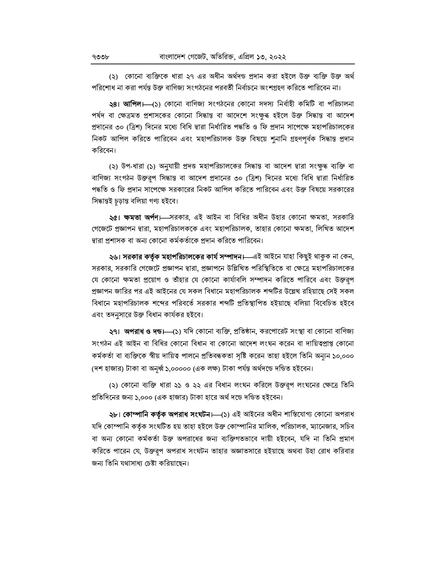(২) কোনো ব্যক্তিকে ধারা ২৭ এর অধীন অর্থদন্ড প্রদান করা হইলে উক্ত ব্যক্তি উক্ত অর্থ পরিশোধ না করা পর্যন্ত উক্ত বাণিজ্য সংগঠনের পরবর্তী নির্বাচনে অংশগ্রহণ করিতে পারিবেন না।

২8। **আপিল।** (১) কোনো বাণিজ্য সংগঠনের কোনো সদস্য নির্বাহী কমিটি বা পরিচালনা পৰ্ষদ বা ক্ষেত্ৰমত প্ৰশাসকের কোনো সিদ্ধান্ত বা আদেশে সংক্ষুৰ হইলে উক্ত সিদ্ধান্ত বা আদেশ প্রদানের ৩০ (ত্রিশ) দিনের মধ্যে বিধি দ্বারা নির্ধারিত পদ্ধতি ও ফি প্রদান সাপেক্ষে মহাপরিচালকের নিকট আপিল করিতে পারিবেন এবং মহাপরিচালক উক্ত বিষয়ে শুনানি গ্রহণপূর্বক সিদ্ধান্ত প্রদান করিবেন।

(২) উপ-ধারা (১) অনুযায়ী প্রদত্ত মহাপরিচালকের সিদ্ধান্ত বা আদেশ দ্বারা সংক্ষদ্ধ ব্যক্তি বা বাণিজ্য সংগঠন উক্তরূপ সিদ্ধান্ত বা আদেশ প্রদানের ৩০ (ত্রিশ) দিনের মধ্যে বিধি দ্বারা নির্ধারিত পদ্ধতি ও ফি প্রদান সাপেক্ষে সরকারের নিকট আপিল করিতে পারিবেন এবং উক্ত বিষয়ে সরকারের সিদ্ধান্তই চড়ান্ত বলিয়া গণ্য হইবে।

২৫। ক্ষমতা অর্পণ। সরকার, এই আইন বা বিধির অধীন উহার কোনো ক্ষমতা, সরকারি গেজেটে প্রজ্ঞাপন দ্বারা, মহাপরিচালককে এবং মহাপরিচালক, তাহার কোনো ক্ষমতা, লিখিত আদেশ দ্বারা প্রশাসক বা অন্য কোনো কর্মকর্তাকে প্রদান করিতে পারিবেন।

২৬। **সরকার কর্তৃক মহাপরিচালকের কার্য সম্পাদন।**—এই আইনে যাহা কিছুই থাকুক না কেন, সরকার, সরকারি গেজেটে প্রজ্ঞাপন দ্বারা, প্রজ্ঞাপনে উল্লিখিত পরিস্থিতিতে বা ক্ষেত্রে মহাপরিচালকের যে কোনো ক্ষমতা প্রয়োগ ও তাঁহার যে কোনো কার্যাবলি সম্পাদন করিতে পারিবে এবং উক্তরপ প্রজ্ঞাপন জারির পর এই আইনের যে সকল বিধানে মহাপরিচালক শব্দটির উল্লেখ রহিয়াছে সেই সকল বিধানে মহাপরিচালক শব্দের পরিবর্তে সরকার শব্দটি প্রতিস্থাপিত হইয়াছে বলিয়া বিবেচিত হইবে এবং তদনসারে উক্ত বিধান কার্যকর হইবে।

**২৭। অপরাধ ও দন্ড।—(১**) যদি কোনো ব্যক্তি, প্রতিষ্ঠান, করপোরেট সংস্থা বা কোনো বাণিজ্য সংগঠন এই আইন বা বিধির কোনো বিধান বা কোনো আদেশ লংঘন করেন বা দায়িত্বপ্রাপ্ত কোনো কৰ্মকৰ্তা বা ব্যক্তিকে স্বীয় দায়িত্ব পালনে প্ৰতিবন্ধকতা সৃষ্টি করেন তাহা হইলে তিনি অন্যন ১০,০০০ (দশ হাজার) টাকা বা অনূর্ধ্ব ১,০০০০০ (এক লক্ষ) টাকা পর্যন্ত অর্থদণ্ডে দণ্ডিত হইবেন।

(২) কোনো ব্যক্তি ধারা ২১ ও ২২ এর বিধান লংঘন করিলে উক্তরূপ লংঘনের ক্ষেত্রে তিনি প্রতিদিনের জন্য ১.০০০ (এক হাজার) টাকা হারে অর্থ দঙে দণ্ডিত হইবেন।

২৮। কোম্পানি কর্তৃক অপরাধ সংঘটন। (১) এই আইনের অধীন শাস্তিযোগ্য কোনো অপরাধ যদি কোম্পানি কর্তৃক সংঘটিত হয় তাহা হইলে উক্ত কোম্পানির মালিক, পরিচালক, ম্যানেজার, সচিব বা অন্য কোনো কর্মকর্তা উক্ত অপরাধের জন্য ব্যক্তিগতভাবে দায়ী হইবেন, যদি না তিনি প্রমাণ করিতে পারেন যে, উক্তরূপ অপরাধ সংঘটন তাহার অজ্ঞাতসারে হইয়াছে অথবা উহা রোধ করিবার জন্য তিনি যথাসাধ্য চেষ্টা করিয়াছেন।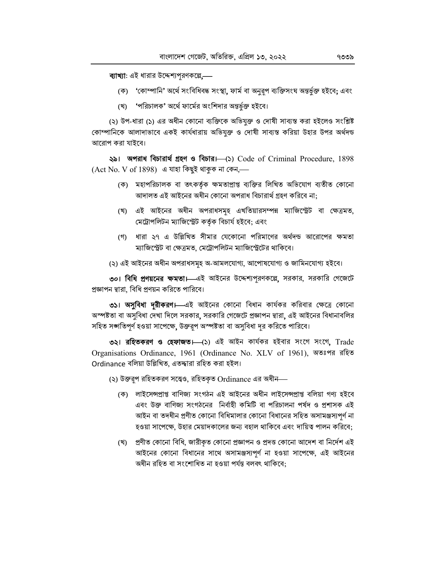ব্যাখ্যা: এই ধারার উদ্দেশ্যপুরণকল্পে,—

- (ক) 'কোম্পানি' অর্থে সংবিধিবদ্ধ সংস্থা, ফার্ম বা অনুরূপ ব্যক্তিসংঘ অন্তর্ভুক্ত হইবে; এবং
- (খ) 'পরিচালক' অর্থে ফার্মের অংশিদার অন্তর্ভুক্ত হইবে।

(২) উপ-ধারা (১) এর অধীন কোনো ব্যক্তিকে অভিযুক্ত ও দোষী সাব্যস্ত করা হইলেও সংশ্লিষ্ট কোম্পানিকে আলাদাভাবে একই কার্যধারায় অভিযুক্ত ও দোষী সাব্যস্ত করিয়া উহার উপর অর্থদন্ড আরোপ করা যাইবে।

২৯। অপরাধ বিচারার্থ গ্রহণ ও বিচার। (১) Code of Criminal Procedure, 1898 (Act No. V of 1898) এ যাহা কিছুই থাকুক না কেন,-

- (ক) মহাপরিচালক বা তৎকর্তক ক্ষমতাপ্রাপ্ত ব্যক্তির লিখিত অভিযোগ ব্যতীত কোনো আদালত এই আইনের অধীন কোনো অপরাধ বিচারার্থ গ্রহণ করিবে না:
- (খ) এই আইনের অধীন অপরাধসমূহ এখতিয়ারসম্পন্ন ম্যাজিস্ট্রেট বা ক্ষেত্রমত, মেট্রোপলিটন ম্যাজিস্ট্রেট কর্তৃক বিচার্য হইবে; এবং
- (গ) ধারা ২৭ এ উল্লিখিত সীমার যেকোনো পরিমাণের অর্থদন্ড আরোপের ক্ষমতা ম্যাজিস্ট্রেট বা ক্ষেত্রমত, মেট্রোপলিটন ম্যাজিস্ট্রেটের থাকিবে।
- (২) এই আইনের অধীন অপরাধসমূহ অ-আমলযোগ্য, আপোষযোগ্য ও জামিনযোগ্য হইবে।

৩০। বিধি প্রণয়নের ক্ষমতা।—এই আইনের উদ্দেশ্যপূরণকল্লে, সরকার, সরকারি গেজেটে প্রজ্ঞাপন দ্বারা, বিধি প্রণয়ন করিতে পারিবে।

৩১। অসুবিধা দরীকরণ। এই আইনের কোনো বিধান কার্যকর করিবার ক্ষেত্রে কোনো অস্পষ্টতা বা অসুবিধা দেখা দিলে সরকার, সরকারি গেজেটে প্রজ্ঞাপন দ্বারা, এই আইনের বিধানাবলির সহিত সঙ্গতিপূর্ণ হওয়া সাপেক্ষে, উক্তরূপ অস্পষ্টতা বা অসুবিধা দূর করিতে পারিবে।

৩২। রহিতকরণ ও হেফাজত।—(১) এই আইন কার্যকর হইবার সংগে সংগে, Trade Organisations Ordinance, 1961 (Ordinance No. XLV of 1961), অতঃপর রহিত Ordinance বলিয়া উল্লিখিত, এতদ্দারা রহিত করা হইল।

(২) উক্তরূপ রহিতকরণ সত্ত্বেও, রহিতকৃত Ordinance এর অধীন—

- (ক) লাইসেন্সপ্ৰাপ্ত বাণিজ্য সংগঠন এই আইনের অধীন লাইসেন্সপ্ৰাপ্ত বলিয়া গণ্য হইবে এবং উক্ত বাণিজ্য সংগঠনের নির্বাহী কমিটি বা পরিচালনা পর্যদ ও প্রশাসক এই আইন বা তদধীন প্রণীত কোনো বিধিমালার কোনো বিধানের সহিত অসামঞ্জস্যপূর্ণ না হওয়া সাপেক্ষে, উহার মেয়াদকালের জন্য বহাল থাকিবে এবং দায়িত্ব পালন করিবে;
- (খ) প্রণীত কোনো বিধি, জারীকৃত কোনো প্রজ্ঞাপন ও প্রদত্ত কোনো আদেশ বা নির্দেশ এই আইনের কোনো বিধানের সাথে অসামঞ্জস্যপূর্ণ না হওয়া সাপেক্ষে, এই আইনের অধীন রহিত বা সংশোধিত না হওয়া পর্যন্ত বলবৎ থাকিবে: